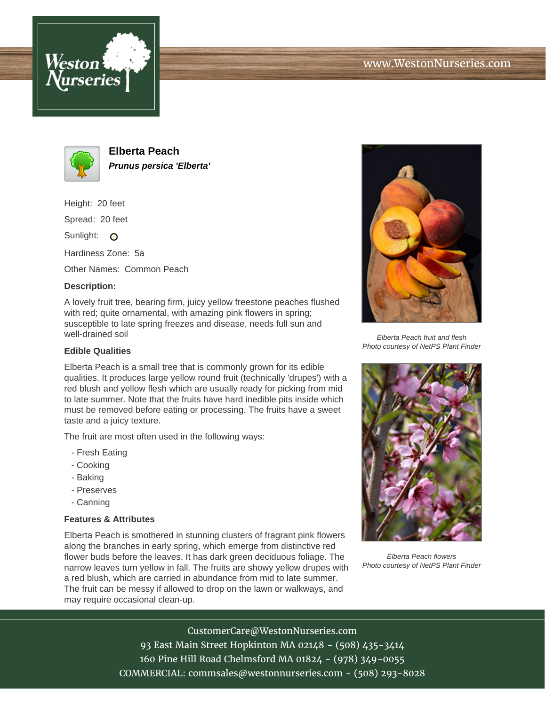



**Elberta Peach Prunus persica 'Elberta'**

Height: 20 feet

Spread: 20 feet

Sunlight: O

Hardiness Zone: 5a

Other Names: Common Peach

## **Description:**

A lovely fruit tree, bearing firm, juicy yellow freestone peaches flushed with red; quite ornamental, with amazing pink flowers in spring; susceptible to late spring freezes and disease, needs full sun and well-drained soil

## **Edible Qualities**

Elberta Peach is a small tree that is commonly grown for its edible qualities. It produces large yellow round fruit (technically 'drupes') with a red blush and yellow flesh which are usually ready for picking from mid to late summer. Note that the fruits have hard inedible pits inside which must be removed before eating or processing. The fruits have a sweet taste and a juicy texture.

The fruit are most often used in the following ways:

- Fresh Eating
- Cooking
- Baking
- Preserves
- Canning

## **Features & Attributes**

Elberta Peach is smothered in stunning clusters of fragrant pink flowers along the branches in early spring, which emerge from distinctive red flower buds before the leaves. It has dark green deciduous foliage. The narrow leaves turn yellow in fall. The fruits are showy yellow drupes with a red blush, which are carried in abundance from mid to late summer. The fruit can be messy if allowed to drop on the lawn or walkways, and may require occasional clean-up.



Elberta Peach fruit and flesh Photo courtesy of NetPS Plant Finder



Elberta Peach flowers Photo courtesy of NetPS Plant Finder

CustomerCare@WestonNurseries.com 93 East Main Street Hopkinton MA 02148 - (508) 435-3414 160 Pine Hill Road Chelmsford MA 01824 - (978) 349-0055 COMMERCIAL: commsales@westonnurseries.com - (508) 293-8028